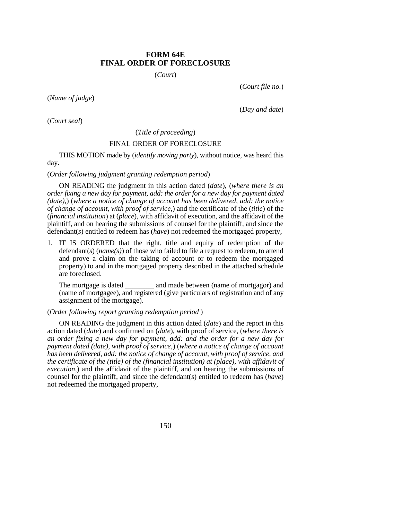# **FORM 64E FINAL ORDER OF FORECLOSURE**

(*Court*)

(*Court file no.*)

(*Name of judge*)

(*Day and date*)

(*Court seal*)

(*Title of proceeding*)

## FINAL ORDER OF FORECLOSURE

THIS MOTION made by (*identify moving party*), without notice, was heard this day.

(*Order following judgment granting redemption period*)

ON READING the judgment in this action dated (*date*), (*where there is an order fixing a new day for payment, add: the order for a new day for payment dated (date),*) (*where a notice of change of account has been delivered, add: the notice of change of account, with proof of service,*) and the certificate of the (*title*) of the (*financial institution*) at (*place*), with affidavit of execution, and the affidavit of the plaintiff, and on hearing the submissions of counsel for the plaintiff, and since the defendant(*s*) entitled to redeem has (*have*) not redeemed the mortgaged property,

1. IT IS ORDERED that the right, title and equity of redemption of the defendant(*s*) (*name(s)*) of those who failed to file a request to redeem, to attend and prove a claim on the taking of account or to redeem the mortgaged property) to and in the mortgaged property described in the attached schedule are foreclosed.

The mortgage is dated \_\_\_\_\_\_\_\_ and made between (name of mortgagor) and (name of mortgagee), and registered (give particulars of registration and of any assignment of the mortgage).

## (*Order following report granting redemption period* )

ON READING the judgment in this action dated (*date*) and the report in this action dated (*date*) and confirmed on (*date*), with proof of service, (*where there is an order fixing a new day for payment, add: and the order for a new day for payment dated (date), with proof of service,*) (*where a notice of change of account has been delivered, add: the notice of change of account, with proof of service, and the certificate of the (title) of the (financial institution) at (place), with affidavit of execution,*) and the affidavit of the plaintiff, and on hearing the submissions of counsel for the plaintiff, and since the defendant(*s*) entitled to redeem has (*have*) not redeemed the mortgaged property,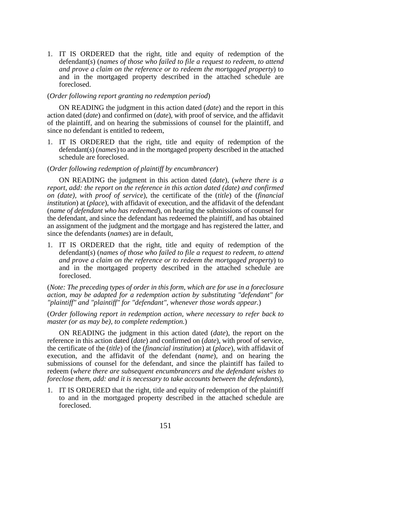1. IT IS ORDERED that the right, title and equity of redemption of the defendant(*s*) (*names of those who failed to file a request to redeem, to attend and prove a claim on the reference or to redeem the mortgaged property*) to and in the mortgaged property described in the attached schedule are foreclosed.

#### (*Order following report granting no redemption period*)

ON READING the judgment in this action dated (*date*) and the report in this action dated (*date*) and confirmed on (*date*), with proof of service, and the affidavit of the plaintiff, and on hearing the submissions of counsel for the plaintiff, and since no defendant is entitled to redeem,

1. IT IS ORDERED that the right, title and equity of redemption of the defendant(*s*) (*names*) to and in the mortgaged property described in the attached schedule are foreclosed.

#### (*Order following redemption of plaintiff by encumbrancer*)

ON READING the judgment in this action dated (*date*), (*where there is a report, add: the report on the reference in this action dated (date) and confirmed on (date), with proof of service*), the certificate of the (*title*) of the (*financial institution*) at (*place*), with affidavit of execution, and the affidavit of the defendant (*name of defendant who has redeemed*), on hearing the submissions of counsel for the defendant, and since the defendant has redeemed the plaintiff, and has obtained an assignment of the judgment and the mortgage and has registered the latter, and since the defendants (*names*) are in default,

1. IT IS ORDERED that the right, title and equity of redemption of the defendant(*s*) (*names of those who failed to file a request to redeem, to attend and prove a claim on the reference or to redeem the mortgaged property*) to and in the mortgaged property described in the attached schedule are foreclosed.

(*Note: The preceding types of order in this form, which are for use in a foreclosure action, may be adapted for a redemption action by substituting "defendant" for "plaintiff" and "plaintiff" for "defendant", whenever those words appear.*)

(*Order following report in redemption action, where necessary to refer back to master (or as may be), to complete redemption.*)

ON READING the judgment in this action dated (*date*), the report on the reference in this action dated (*date*) and confirmed on (*date*), with proof of service, the certificate of the (*title*) of the (*financial institution*) at (*place*), with affidavit of execution, and the affidavit of the defendant (*name*), and on hearing the submissions of counsel for the defendant, and since the plaintiff has failed to redeem (*where there are subsequent encumbrancers and the defendant wishes to foreclose them, add: and it is necessary to take accounts between the defendants*),

1. IT IS ORDERED that the right, title and equity of redemption of the plaintiff to and in the mortgaged property described in the attached schedule are foreclosed.